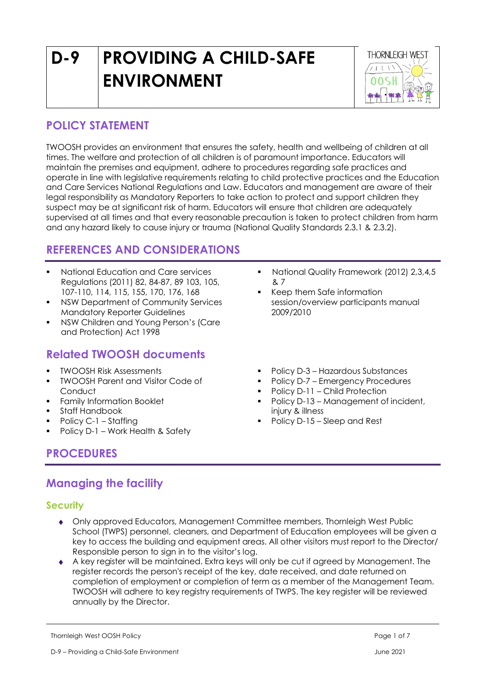# **D-9 PROVIDING A CHILD-SAFE ENVIRONMENT**



# **POLICY STATEMENT**

TWOOSH provides an environment that ensures the safety, health and wellbeing of children at all times. The welfare and protection of all children is of paramount importance. Educators will maintain the premises and equipment, adhere to procedures regarding safe practices and operate in line with legislative requirements relating to child protective practices and the Education and Care Services National Regulations and Law. Educators and management are aware of their legal responsibility as Mandatory Reporters to take action to protect and support children they suspect may be at significant risk of harm. Educators will ensure that children are adequately supervised at all times and that every reasonable precaution is taken to protect children from harm and any hazard likely to cause injury or trauma (National Quality Standards 2.3.1 & 2.3.2).

# **REFERENCES AND CONSIDERATIONS**

- National Education and Care services Regulations (2011) 82, 84-87, 89 103, 105, 107-110, 114, 115, 155, 170, 176, 168
- NSW Department of Community Services Mandatory Reporter Guidelines
- NSW Children and Young Person's (Care and Protection) Act 1998

# **Related TWOOSH documents**

- **TWOOSH Risk Assessments**
- TWOOSH Parent and Visitor Code of Conduct
- Family Information Booklet
- Staff Handbook
- Policy C-1 Staffing
- Policy D-1 Work Health & Safety

# **PROCEDURES**

# **Managing the facility**

# **Security**

- Only approved Educators, Management Committee members, Thornleigh West Public School (TWPS) personnel, cleaners, and Department of Education employees will be given a key to access the building and equipment areas. All other visitors must report to the Director/ Responsible person to sign in to the visitor's log.
- A key register will be maintained. Extra keys will only be cut if agreed by Management. The register records the person's receipt of the key, date received, and date returned on completion of employment or completion of term as a member of the Management Team. TWOOSH will adhere to key registry requirements of TWPS. The key register will be reviewed annually by the Director.

Thornleigh West OOSH Policy Page 1 of 7

- **National Quality Framework (2012) 2,3,4,5** & 7
- Keep them Safe information session/overview participants manual 2009/2010
- Policy D-3 Hazardous Substances
- Policy D-7 Emergency Procedures
- Policy D-11 Child Protection
- Policy D-13 Management of incident, injury & illness
- Policy D-15 Sleep and Rest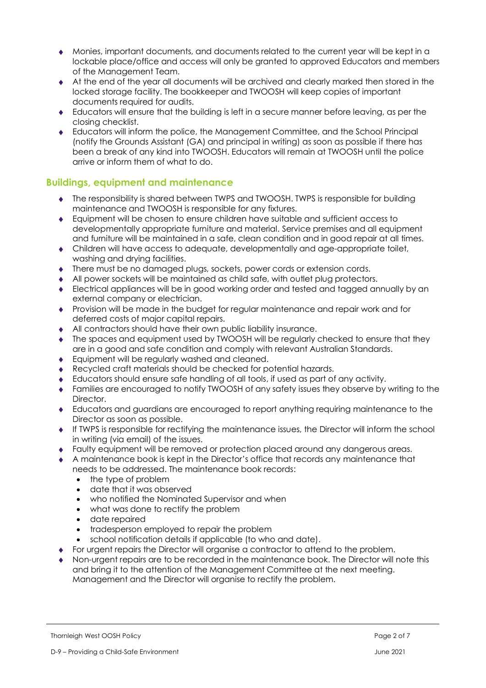- Monies, important documents, and documents related to the current year will be kept in a lockable place/office and access will only be granted to approved Educators and members of the Management Team.
- At the end of the year all documents will be archived and clearly marked then stored in the locked storage facility. The bookkeeper and TWOOSH will keep copies of important documents required for audits.
- Educators will ensure that the building is left in a secure manner before leaving, as per the closing checklist.
- Educators will inform the police, the Management Committee, and the School Principal (notify the Grounds Assistant (GA) and principal in writing) as soon as possible if there has been a break of any kind into TWOOSH. Educators will remain at TWOOSH until the police arrive or inform them of what to do.

# **Buildings, equipment and maintenance**

- The responsibility is shared between TWPS and TWOOSH. TWPS is responsible for building maintenance and TWOOSH is responsible for any fixtures.
- Equipment will be chosen to ensure children have suitable and sufficient access to developmentally appropriate furniture and material. Service premises and all equipment and furniture will be maintained in a safe, clean condition and in good repair at all times.
- Children will have access to adequate, developmentally and age-appropriate toilet, washing and drying facilities.
- There must be no damaged plugs, sockets, power cords or extension cords.
- All power sockets will be maintained as child safe, with outlet plug protectors.
- Electrical appliances will be in good working order and tested and tagged annually by an external company or electrician.
- Provision will be made in the budget for regular maintenance and repair work and for deferred costs of major capital repairs.
- All contractors should have their own public liability insurance.
- The spaces and equipment used by TWOOSH will be regularly checked to ensure that they are in a good and safe condition and comply with relevant Australian Standards.
- ◆ Equipment will be regularly washed and cleaned.
- Recycled craft materials should be checked for potential hazards.
- Educators should ensure safe handling of all tools, if used as part of any activity.
- Families are encouraged to notify TWOOSH of any safety issues they observe by writing to the Director.
- Educators and guardians are encouraged to report anything requiring maintenance to the Director as soon as possible.
- If TWPS is responsible for rectifying the maintenance issues, the Director will inform the school in writing (via email) of the issues.
- Faulty equipment will be removed or protection placed around any dangerous areas.
- A maintenance book is kept in the Director's office that records any maintenance that needs to be addressed. The maintenance book records:
	- the type of problem
	- date that it was observed
	- who notified the Nominated Supervisor and when
	- what was done to rectify the problem
	- date repaired
	- tradesperson employed to repair the problem
	- school notification details if applicable (to who and date).
- For urgent repairs the Director will organise a contractor to attend to the problem.
- Non-urgent repairs are to be recorded in the maintenance book. The Director will note this and bring it to the attention of the Management Committee at the next meeting. Management and the Director will organise to rectify the problem.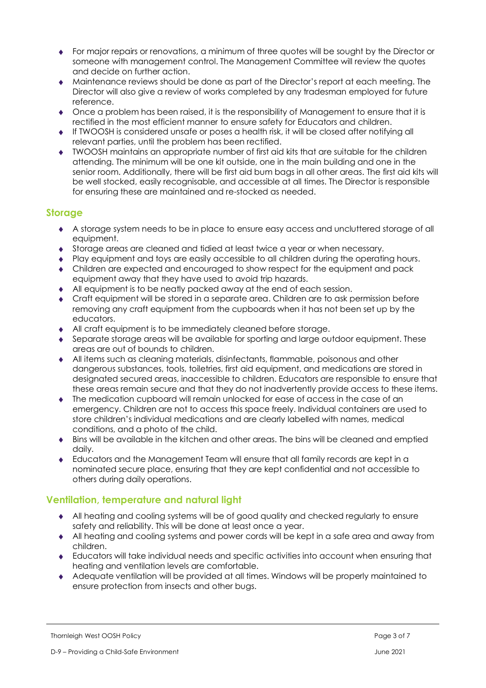- For major repairs or renovations, a minimum of three quotes will be sought by the Director or someone with management control. The Management Committee will review the quotes and decide on further action.
- Maintenance reviews should be done as part of the Director's report at each meeting. The Director will also give a review of works completed by any tradesman employed for future reference.
- Once a problem has been raised, it is the responsibility of Management to ensure that it is rectified in the most efficient manner to ensure safety for Educators and children.
- If TWOOSH is considered unsafe or poses a health risk, it will be closed after notifying all relevant parties, until the problem has been rectified.
- TWOOSH maintains an appropriate number of first aid kits that are suitable for the children attending. The minimum will be one kit outside, one in the main building and one in the senior room. Additionally, there will be first aid bum bags in all other areas. The first aid kits will be well stocked, easily recognisable, and accessible at all times. The Director is responsible for ensuring these are maintained and re-stocked as needed.

## **Storage**

- A storage system needs to be in place to ensure easy access and uncluttered storage of all equipment.
- Storage areas are cleaned and tidied at least twice a year or when necessary.
- Play equipment and toys are easily accessible to all children during the operating hours.
- Children are expected and encouraged to show respect for the equipment and pack equipment away that they have used to avoid trip hazards.
- All equipment is to be neatly packed away at the end of each session.
- Craft equipment will be stored in a separate area. Children are to ask permission before removing any craft equipment from the cupboards when it has not been set up by the educators.
- All craft equipment is to be immediately cleaned before storage.
- Separate storage areas will be available for sporting and large outdoor equipment. These areas are out of bounds to children.
- All items such as cleaning materials, disinfectants, flammable, poisonous and other dangerous substances, tools, toiletries, first aid equipment, and medications are stored in designated secured areas, inaccessible to children. Educators are responsible to ensure that these areas remain secure and that they do not inadvertently provide access to these items.
- The medication cupboard will remain unlocked for ease of access in the case of an emergency. Children are not to access this space freely. Individual containers are used to store children's individual medications and are clearly labelled with names, medical conditions, and a photo of the child.
- Bins will be available in the kitchen and other areas. The bins will be cleaned and emptied daily.
- Educators and the Management Team will ensure that all family records are kept in a nominated secure place, ensuring that they are kept confidential and not accessible to others during daily operations.

# **Ventilation, temperature and natural light**

- All heating and cooling systems will be of good quality and checked regularly to ensure safety and reliability. This will be done at least once a year.
- All heating and cooling systems and power cords will be kept in a safe area and away from children.
- Educators will take individual needs and specific activities into account when ensuring that heating and ventilation levels are comfortable.
- Adequate ventilation will be provided at all times. Windows will be properly maintained to ensure protection from insects and other bugs.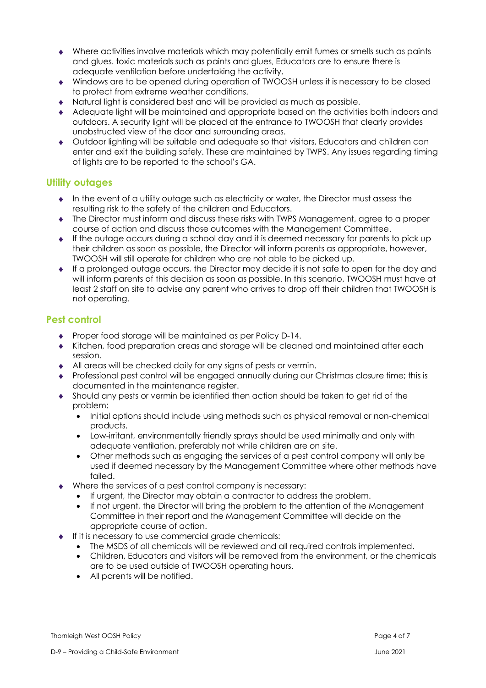- Where activities involve materials which may potentially emit fumes or smells such as paints and glues. toxic materials such as paints and glues, Educators are to ensure there is adequate ventilation before undertaking the activity.
- Windows are to be opened during operation of TWOOSH unless it is necessary to be closed to protect from extreme weather conditions.
- Natural light is considered best and will be provided as much as possible.
- Adequate light will be maintained and appropriate based on the activities both indoors and outdoors. A security light will be placed at the entrance to TWOOSH that clearly provides unobstructed view of the door and surrounding areas.
- Outdoor lighting will be suitable and adequate so that visitors, Educators and children can enter and exit the building safely. These are maintained by TWPS. Any issues regarding timing of lights are to be reported to the school's GA.

## **Utility outages**

- $\bullet$  In the event of a utility outage such as electricity or water, the Director must assess the resulting risk to the safety of the children and Educators.
- The Director must inform and discuss these risks with TWPS Management, agree to a proper course of action and discuss those outcomes with the Management Committee.
- $\bullet$  If the outage occurs during a school day and it is deemed necessary for parents to pick up their children as soon as possible, the Director will inform parents as appropriate, however, TWOOSH will still operate for children who are not able to be picked up.
- $\bullet$  If a prolonged outage occurs, the Director may decide it is not safe to open for the day and will inform parents of this decision as soon as possible. In this scenario, TWOOSH must have at least 2 staff on site to advise any parent who arrives to drop off their children that TWOOSH is not operating.

# **Pest control**

- ◆ Proper food storage will be maintained as per Policy D-14.
- Kitchen, food preparation areas and storage will be cleaned and maintained after each session.
- All areas will be checked daily for any signs of pests or vermin.
- Professional pest control will be engaged annually during our Christmas closure time; this is documented in the maintenance register.
- Should any pests or vermin be identified then action should be taken to get rid of the problem:
	- Initial options should include using methods such as physical removal or non-chemical products.
	- Low-irritant, environmentally friendly sprays should be used minimally and only with adequate ventilation, preferably not while children are on site.
	- Other methods such as engaging the services of a pest control company will only be used if deemed necessary by the Management Committee where other methods have failed.
- Where the services of a pest control company is necessary:
	- If urgent, the Director may obtain a contractor to address the problem.
	- If not urgent, the Director will bring the problem to the attention of the Management Committee in their report and the Management Committee will decide on the appropriate course of action.
- If it is necessary to use commercial grade chemicals:
	- The MSDS of all chemicals will be reviewed and all required controls implemented.
	- Children, Educators and visitors will be removed from the environment, or the chemicals are to be used outside of TWOOSH operating hours.
	- All parents will be notified.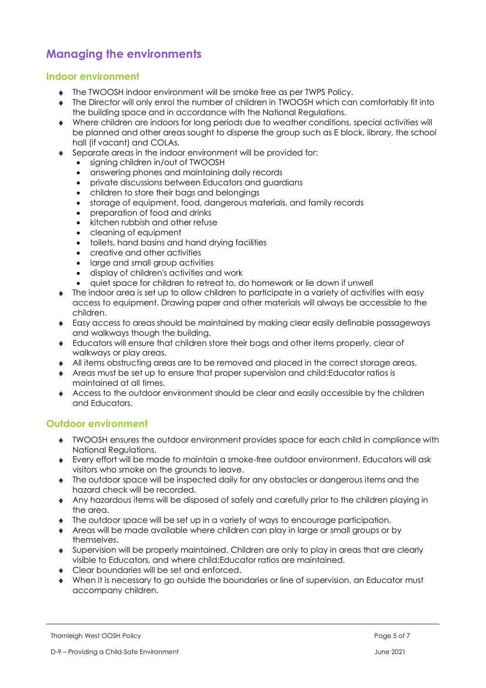# **Managing the environments**

#### **Indoor environment**

- The TWOOSH indoor environment will be smoke free as per TWPS Policy.
- The Director will only enrol the number of children in TWOOSH which can comfortably fit into the building space and in accordance with the National Regulations.
- Where children are indoors for long periods due to weather conditions, special activities will be planned and other areas sought to disperse the group such as E block, library, the school hall (if vacant) and COLAs.
- Separate areas in the indoor environment will be provided for:
	- signing children in/out of TWOOSH
	- answering phones and maintaining daily records
	- private discussions between Educators and guardians
	- children to store their bags and belongings
	- storage of equipment, food, dangerous materials, and family records
	- preparation of food and drinks
	- kitchen rubbish and other refuse
	- cleaning of equipment
	- toilets, hand basins and hand drying facilities
	- creative and other activities
	- large and small group activities
	- display of children's activities and work
	- quiet space for children to retreat to, do homework or lie down if unwell
- The indoor area is set up to allow children to participate in a variety of activities with easy access to equipment. Drawing paper and other materials will always be accessible to the children.
- Easy access to areas should be maintained by making clear easily definable passageways and walkways though the building.
- Educators will ensure that children store their bags and other items properly, clear of walkways or play areas.
- All items obstructing areas are to be removed and placed in the correct storage areas.
- Areas must be set up to ensure that proper supervision and child:Educator ratios is maintained at all times.
- Access to the outdoor environment should be clear and easily accessible by the children and Educators.

#### **Outdoor environment**

- TWOOSH ensures the outdoor environment provides space for each child in compliance with National Regulations.
- Every effort will be made to maintain a smoke-free outdoor environment. Educators will ask visitors who smoke on the grounds to leave.
- The outdoor space will be inspected daily for any obstacles or dangerous items and the hazard check will be recorded.
- Any hazardous items will be disposed of safely and carefully prior to the children playing in the area.
- The outdoor space will be set up in a variety of ways to encourage participation.
- Areas will be made available where children can play in large or small groups or by themselves.
- Supervision will be properly maintained. Children are only to play in areas that are clearly visible to Educators, and where child:Educator ratios are maintained.
- ◆ Clear boundaries will be set and enforced
- When it is necessary to go outside the boundaries or line of supervision, an Educator must accompany children.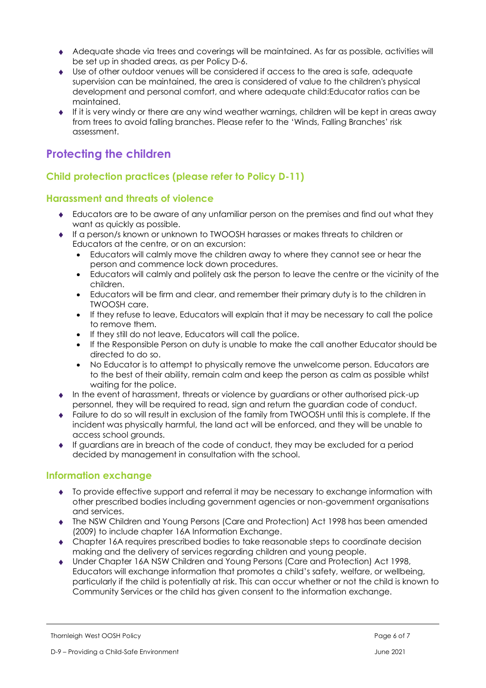- Adequate shade via trees and coverings will be maintained. As far as possible, activities will be set up in shaded areas, as per Policy D-6.
- Use of other outdoor venues will be considered if access to the area is safe, adequate supervision can be maintained, the area is considered of value to the children's physical development and personal comfort, and where adequate child:Educator ratios can be maintained.
- If it is very windy or there are any wind weather warnings, children will be kept in areas away from trees to avoid falling branches. Please refer to the 'Winds, Falling Branches' risk assessment.

# **Protecting the children**

# **Child protection practices (please refer to Policy D-11)**

## **Harassment and threats of violence**

- Educators are to be aware of any unfamiliar person on the premises and find out what they want as quickly as possible.
- If a person/s known or unknown to TWOOSH harasses or makes threats to children or Educators at the centre, or on an excursion:
	- Educators will calmly move the children away to where they cannot see or hear the person and commence lock down procedures.
	- Educators will calmly and politely ask the person to leave the centre or the vicinity of the children.
	- Educators will be firm and clear, and remember their primary duty is to the children in TWOOSH care.
	- If they refuse to leave, Educators will explain that it may be necessary to call the police to remove them.
	- If they still do not leave, Educators will call the police.
	- If the Responsible Person on duty is unable to make the call another Educator should be directed to do so.
	- No Educator is to attempt to physically remove the unwelcome person. Educators are to the best of their ability, remain calm and keep the person as calm as possible whilst waiting for the police.
- $\bullet$  In the event of harassment, threats or violence by guardians or other authorised pick-up personnel, they will be required to read, sign and return the guardian code of conduct.
- Failure to do so will result in exclusion of the family from TWOOSH until this is complete. If the incident was physically harmful, the land act will be enforced, and they will be unable to access school grounds.
- $\bullet$  If guardians are in breach of the code of conduct, they may be excluded for a period decided by management in consultation with the school.

# **Information exchange**

- To provide effective support and referral it may be necessary to exchange information with other prescribed bodies including government agencies or non-government organisations and services.
- The NSW Children and Young Persons (Care and Protection) Act 1998 has been amended (2009) to include chapter 16A Information Exchange.
- Chapter 16A requires prescribed bodies to take reasonable steps to coordinate decision making and the delivery of services regarding children and young people.
- Under Chapter 16A NSW Children and Young Persons (Care and Protection) Act 1998, Educators will exchange information that promotes a child's safety, welfare, or wellbeing, particularly if the child is potentially at risk. This can occur whether or not the child is known to Community Services or the child has given consent to the information exchange.